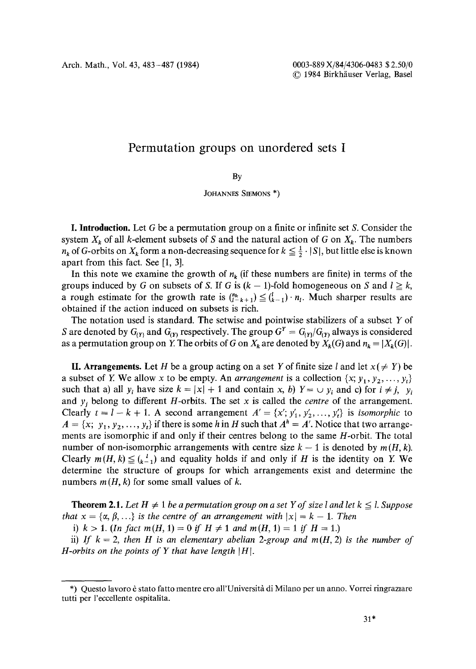## **Permutation groups on unordered sets I**

By

JOHANNES SIEMONS<sup>\*</sup>)

**I. Introduction.** Let G be a permutation group on a finite or infinite set S. Consider the system  $X_k$  of all k-element subsets of S and the natural action of G on  $X_k$ . The numbers  $n_k$  of G-orbits on  $X_k$  form a non-decreasing sequence for  $k \leq \frac{1}{2} \cdot |S|$ , but little else is known apart from this fact. See [1, 3].

In this note we examine the growth of  $n_k$  (if these numbers are finite) in terms of the groups induced by G on subsets of S. If G is  $(k - 1)$ -fold homogeneous on S and  $l \geq k$ , a rough estimate for the growth rate is  $\binom{n_k}{k+1} \leq \binom{l}{k-1} \cdot n_l$ . Much sharper results are obtained if the action induced on subsets is rich.

The notation used is standard. The setwise and pointwise stabilizers of a subset Y of S are denoted by  $G_{(Y)}$  and  $G_{(Y)}$  respectively. The group  $G^Y = G_{(Y)}/G_{(Y)}$  always is considered as a permutation group on Y. The orbits of G on  $X_k$  are denoted by  $X_k(G)$  and  $n_k = |X_k(G)|$ .

**II. Arrangements.** Let H be a group acting on a set Y of finite size l and let  $x (\neq Y)$  be a subset of Y. We allow x to be empty. An *arrangement* is a collection  $\{x, y_1, y_2, \ldots, y_t\}$ such that a) all  $y_i$  have size  $k = |x| + 1$  and contain *x*, *b*)  $Y = \bigcup y_i$  and c) for  $i \neq j$ ,  $y_i$ and  $y_i$  belong to different *H*-orbits. The set x is called the *centre* of the arrangement. Clearly  $t = l - k + 1$ . A second arrangement  $A' = \{x', y'_1, y'_2, ..., y'_t\}$  is *isomorphic* to  $A = \{x; y_1, y_2, \ldots, y_t\}$  if there is some h in H such that  $A^h = A'$ . Notice that two arrangements are isomorphic if and only if their centres belong to the same H-orbit. The total number of non-isomorphic arrangements with centre size  $k - 1$  is denoted by  $m(H, k)$ . Clearly  $m(H, k) \leq {k-1 \choose k-1}$  and equality holds if and only if H is the identity on Y. We determine the structure of groups for which arrangements exist and determine the numbers  $m(H, k)$  for some small values of k.

**Theorem 2.1.** Let  $H \neq 1$  be a permutation group on a set Y of size *I* and let  $k \leq l$ . Suppose *that*  $x = \{\alpha, \beta, ...\}$  *is the centre of an arrangement with*  $|x| = k - 1$ *. Then* 

i)  $k>1$ . (In fact  $m(H, 1)=0$  if  $H \neq 1$  and  $m(H, 1)=1$  if  $H=1$ .)

ii) If  $k = 2$ , then H is an elementary abelian 2-group and  $m(H, 2)$  is the number of *H*-orbits on the points of Y that have length  $|H|$ .

<sup>\*)</sup> Questo lavoro è stato fatto mentre ero all'Università di Milano per un anno. Vorrei ringraziare tutti per l'eccellente ospitalita.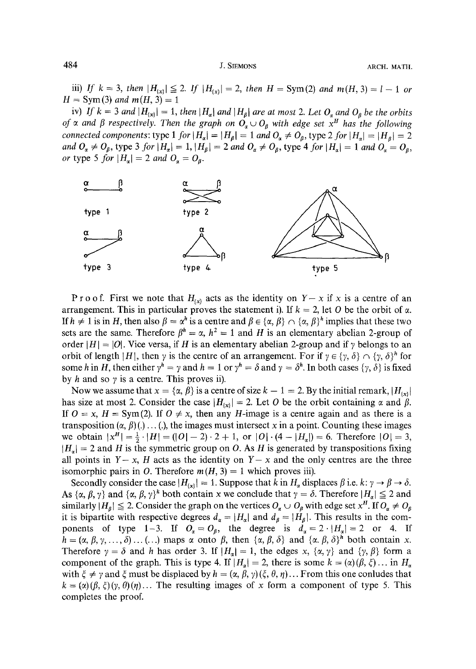484 J. SIEMONS ARCH. MATH.

iii) If  $k = 3$ , then  $|H_{\{x\}}| \leq 2$ . If  $|H_{\{x\}}| = 2$ , then  $H = \text{Sym}(2)$  and  $m(H, 3) = 1 - 1$  or  $H = Sym(3)$  and  $m(H, 3) = 1$ 

iv) If  $k = 3$  and  $|H_{\{x\}}| = 1$ , then  $|H_{\alpha}|$  and  $|H_{\beta}|$  are at most 2. Let  $O_{\alpha}$  and  $O_{\beta}$  be the orbits *of*  $\alpha$  and  $\beta$  respectively. Then the graph on  $O_{\alpha} \cup O_{\beta}$  with edge set  $x^H$  has the following *connected components:* type 1 *for*  $|H_{\alpha}| = |H_{\beta}| = 1$  *and*  $O_{\alpha} \neq O_{\beta}$ , type 2 *for*  $|H_{\alpha}| = |H_{\beta}| = 2$ *and*  $O_{\alpha} \neq O_{\beta}$ , type 3 *for*  $|H_{\alpha}| = 1$ ,  $|H_{\beta}| = 2$  *and*  $O_{\alpha} \neq O_{\beta}$ , type 4 *for*  $|H_{\alpha}| = 1$  *and*  $O_{\alpha} = O_{\beta}$ , *or* type 5 *for*  $|H_{\alpha}| = 2$  *and*  $O_{\alpha} = O_{\beta}$ .



P r o o f. First we note that  $H_{(x)}$  acts as the identity on  $Y-x$  if x is a centre of an arrangement. This in particular proves the statement i). If  $k = 2$ , let O be the orbit of  $\alpha$ . If  $h \neq 1$  is in H, then also  $\beta = \alpha^h$  is a centre and  $\beta \in {\{\alpha, \beta\}} \cap {\{\alpha, \beta\}}^h$  implies that these two sets are the same. Therefore  $\beta^h = \alpha$ ,  $h^2 = 1$  and H is an elementary abelian 2-group of order  $|H| = |O|$ . Vice versa, if H is an elementary abelian 2-group and if  $\gamma$  belongs to an orbit of length  $|H|$ , then  $\gamma$  is the centre of an arrangement. For if  $\gamma \in {\gamma, \delta} \setminus {\gamma, \delta}^h$  for some h in H, then either  $\gamma^h = \gamma$  and  $h = 1$  or  $\gamma^h = \delta$  and  $\gamma = \delta^h$ . In both cases  $\{\gamma, \delta\}$  is fixed by h and so  $\gamma$  is a centre. This proves ii).

Now we assume that  $x = \{\alpha, \beta\}$  is a centre of size  $k - 1 = 2$ . By the initial remark,  $|H_{\{x\}}|$ has size at most 2. Consider the case  $|H_{(x)}| = 2$ . Let O be the orbit containing  $\alpha$  and  $\beta$ . If  $O = x$ ,  $H = Sym(2)$ . If  $O \neq x$ , then any H-image is a centre again and as there is a transposition  $(\alpha, \beta)$  (.) ... (.), the images must intersect x in a point. Counting these images we obtain  $|x^H| = \frac{1}{2} \cdot |H| = (|O| - 2) \cdot 2 + 1$ , or  $|O| \cdot (4 - |H_x|) = 6$ . Therefore  $|O| = 3$ ,  $|H_{\alpha}|=2$  and H is the symmetric group on O. As H is generated by transpositions fixing all points in  $Y-x$ , H acts as the identity on  $Y-x$  and the only centres are the three isomorphic pairs in O. Therefore  $m(H, 3) = 1$  which proves iii).

Secondly consider the case  $|H_{\{x\}}| = 1$ . Suppose that k in  $H_{\alpha}$  displaces  $\beta$  i.e. k:  $\gamma \rightarrow \beta \rightarrow \delta$ . As  $\{\alpha, \beta, \gamma\}$  and  $\{\alpha, \beta, \gamma\}^k$  both contain x we conclude that  $\gamma = \delta$ . Therefore  $|H_{\alpha}| \leq 2$  and similarly  $|H_\beta| \leq 2$ . Consider the graph on the vertices  $O_\alpha \cup O_\beta$  with edge set  $x^H$ . If  $O_\alpha \neq O_\beta$ it is bipartite with respective degrees  $d_{\alpha} = |H_{\alpha}|$  and  $d_{\beta} = |H_{\beta}|$ . This results in the components of type 1-3. If  $O_{\alpha} = O_{\beta}$ , the degree is  $d_{\alpha} = 2 \cdot |H_{\alpha}| = 2$  or 4. If  $h = (\alpha, \beta, \gamma, ..., \delta) \dots (...)$  maps  $\alpha$  onto  $\beta$ , then  $\{\alpha, \beta, \delta\}$  and  $\{\alpha, \beta, \delta\}^h$  both contain x. Therefore  $\gamma = \delta$  and h has order 3. If  $|H_{\alpha}| = 1$ , the edges x,  $\{\alpha, \gamma\}$  and  $\{\gamma, \beta\}$  form a component of the graph. This is type 4. If  $|H_{\alpha}| = 2$ , there is some  $k = \alpha(\beta, \xi) \dots$  in  $H_{\alpha}$ with  $\xi \neq \gamma$  and  $\xi$  must be displaced by  $h = (\alpha, \beta, \gamma)(\xi, \theta, \eta)$ ... From this one conludes that  $k = (\alpha)(\beta, \xi)(\gamma, \theta)(\eta)$ ... The resulting images of x form a component of type 5. This completes the proof.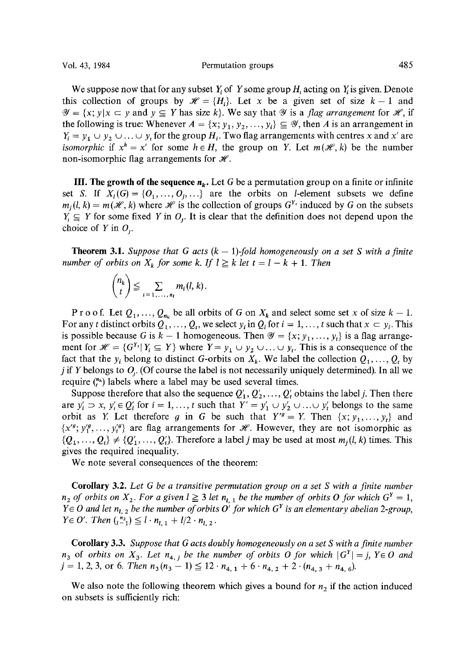We suppose now that for any subset Y of Y some group H, acting on Y is given. Denote this collection of groups by  $\mathcal{H} = \{H_i\}$ . Let x be a given set of size  $k-1$  and  $\mathscr{Y} = \{x; y | x \subset y \text{ and } y \subseteq Y \text{ has size } k\}.$  We say that  $\mathscr{Y}$  is a *flag arrangement* for  $\mathscr{H}$ , if the following is true: Whenever  $A = \{x; y_1, y_2, ..., y_i\} \subseteq \mathcal{Y}$ , then A is an arrangement in  $Y_i = y_1 \cup y_2 \cup \ldots \cup y_i$  for the group  $H_i$ . Two flag arrangements with centres x and x' are *isomorphic* if  $x^h = x'$  for some  $h \in H$ , the group on Y. Let  $m(\mathcal{H}, k)$  be the number non-isomorphic flag arrangements for  $\mathcal{H}$ .

**III. The growth of the sequence**  $n_k$ **.** Let G be a permutation group on a finite or infinite set S. If  $X_i(G) = \{O_1, \ldots, O_i, \ldots\}$  are the orbits on *l*-element subsets we define  $m_j(l, k) = m(\mathcal{H}, k)$  where  $\mathcal H$  is the collection of groups  $G^{Y_i}$  induced by G on the subsets  $Y_i \subseteq Y$  for some fixed Y in  $O_i$ . It is clear that the definition does not depend upon the choice of Y in  $O_i$ .

**Theorem 3.1.** *Suppose that G acts*  $(k - 1)$ *-fold homogeneously on a set S with a finite number of orbits on*  $X_k$  *for some k. If*  $l \geq k$  *let*  $t = l - k + 1$ *. Then* 

$$
\binom{n_k}{t} \leq \sum_{i=1,\ldots,n_l} m_i(l,k).
$$

P r o o f. Let  $Q_1, \ldots, Q_{n_k}$  be all orbits of G on  $X_k$  and select some set x of size  $k - 1$ . For any t distinct orbits  $Q_1, \ldots, Q_t$ , we select  $y_i$  in  $Q_i$  for  $i = 1, \ldots, t$  such that  $x \subset y_i$ . This is possible because G is  $k - 1$  homogeneous. Then  $\mathcal{Y} = \{x; y_1, ..., y_t\}$  is a flag arrangement for  $\mathcal{H} = \{G^{Y_i} | Y_i \subseteq Y\}$  where  $Y = y_1 \cup y_2 \cup ... \cup y_t$ . This is a consequence of the fact that the  $y_i$  belong to distinct G-orbits on  $X_k$ . We label the collection  $Q_1, \ldots, Q_t$  by j if Y belongs to  $O<sub>i</sub>$ . (Of course the label is not necessarily uniquely determined). In all we require  $\binom{n_k}{r}$  labels where a label may be used several times.

Suppose therefore that also the sequence  $Q'_1, Q'_2, \ldots, Q'_t$  obtains the label j. Then there are  $y'_i \supset x$ ,  $y'_i \in Q'_i$  for  $i = 1, ..., t$  such that  $Y' = y'_1 \cup y'_2 \cup ... \cup y'_t$  belongs to the same orbit as Y. Let therefore g in G be such that  $Y'^{g} = Y$ . Then  $\{x; y_1, \ldots, y_t\}$  and  $\{x^{g}, y_1^{g}, \ldots, y_t^{g}\}$  are flag arrangements for  $\mathcal{H}$ . However, they are not isomorphic as  $\{Q_1, \ldots, Q_t\} \neq \{Q'_1, \ldots, Q'_t\}$ . Therefore a label *j* may be used at most  $m_i(l, k)$  times. This gives the required inequality.

We note several consequences of the theorem:

**Corollary** 3.2. *Let G be a transitive permutation group on a set S with a finite number*   $n_2$  of orbits on  $X_2$ . For a given  $l \geq 3$  let  $n_{l,1}$  be the number of orbits O for which  $G^Y = 1$ ,  $Y \in O$  and let  $n_{l, 2}$  be the number of orbits  $O'$  for which  $G<sup>Y</sup>$  is an elementary abelian 2-group,  $Y \in O'$ . Then  $\binom{n_2}{l-1} \leq l \cdot n_{l-1} + l/2 \cdot n_{l-2}$ .

**Corollary** 3.3. *Suppose that G acts doubly homogeneously on a set S with a finite number*   $n_3$  of *orbits on*  $X_3$ . Let  $n_{4,j}$  be the number of *orbits O for which*  $|G^Y| = j$ ,  $Y \in O$  and  $j = 1, 2, 3$ , or 6. *Then*  $n_3(n_3 - 1) \leq 12 \cdot n_{4, 1} + 6 \cdot n_{4, 2} + 2 \cdot (n_{4, 3} + n_{4, 6})$ .

We also note the following theorem which gives a bound for  $n<sub>2</sub>$  if the action induced on subsets is sufficiently rich: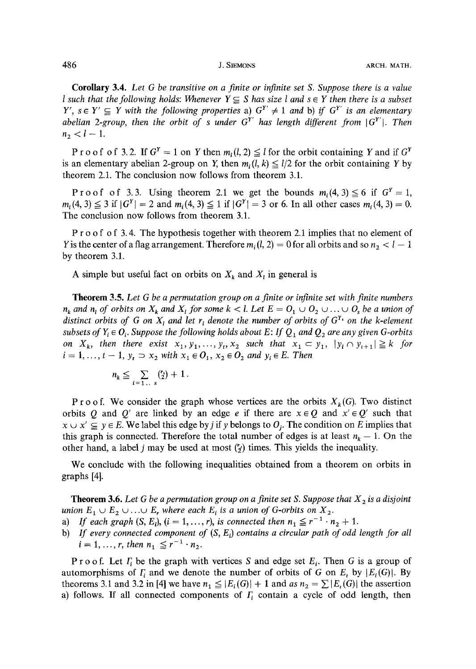**Corollary** 3.4. *Let G be transitive on a finite or infinite set S. Suppose there is a value I* such that the following holds: Whenever  $Y \subseteq S$  has size *I* and  $s \in Y$  then there is a subset  $Y'$ ,  $s \in Y' \subseteq Y$  with the following properties a)  $G^{Y'} \neq 1$  and b) if  $G^{Y'}$  is an elementary *abelian 2-group, then the orbit of s under*  $G<sup>Y'</sup>$  *has length different from*  $|G<sup>Y'</sup>|$ *. Then*  $n_2 < l-1$ .

P r o o f o f 3.2. If  $G^Y = 1$  on Y then  $m_i(l, 2) \leq l$  for the orbit containing Y and if  $G^Y$ is an elementary abelian 2-group on Y, then  $m_i$ ,  $(l, k) \le l/2$  for the orbit containing Y by theorem 2.1. The conclusion now follows from theorem 3.1.

Proof of 3.3. Using theorem 2.1 we get the bounds  $m_i(4,3) \leq 6$  if  $G^Y=1$ ,  $m_i(4, 3) \leq 3$  if  $|G^Y| = 2$  and  $m_i(4, 3) \leq 1$  if  $|G^Y| = 3$  or 6. In all other cases  $m_i(4, 3) = 0$ . The conclusion now follows from theorem 3.1.

P r o o f o f 3.4. The hypothesis together with theorem 2.1 implies that no element of Y is the center of a flag arrangement. Therefore  $m_i$  (*l*, 2) = 0 for all orbits and so  $n_2 < l - 1$ by theorem 3.1.

A simple but useful fact on orbits on  $X_k$  and  $X_l$  in general is

Theorem 3.5. *Let G be a permutation group on a finite or infinite set with finite numbers*   $n_k$  and  $n_i$  of orbits on  $X_k$  and  $X_l$  for some  $k < l$ . Let  $E = O_1 \cup O_2 \cup \ldots \cup O_s$  be a union of *distinct orbits of G on*  $X_t$  *and let r<sub>i</sub> denote the number of orbits of*  $G^{Y_t}$  *on the k-element subsets of*  $Y_i \in O_i$ . Suppose the following holds about E: If  $Q_i$  and  $Q_2$  are any given G-orbits *on*  $X_k$ , then there exist  $x_1, y_1, \ldots, y_t, x_2$  such that  $x_1 \subset y_1, |y_i \cap y_{t+1}| \geq k$  for  $i = 1, ..., t - 1, y_t \supset x_2$  with  $x_1 \in O_1$ ,  $x_2 \in O_2$  and  $y_i \in E$ . Then

$$
n_k \leqq \sum_{i=1 \ldots s} {r_i \choose 2} + 1.
$$

P r o o f. We consider the graph whose vertices are the orbits  $X_k(G)$ . Two distinct orbits Q and Q' are linked by an edge e if there are  $x \in Q$  and  $x' \in Q'$  such that  $x \cup x' \subseteq y \in E$ . We label this edge by *j* if y belongs to  $O_i$ . The condition on E implies that this graph is connected. Therefore the total number of edges is at least  $n_k - 1$ . On the other hand, a label j may be used at most  $(\gamma)$  times. This yields the inequality.

We conclude with the following inequalities obtained from a theorem on orbits in graphs [41.

**Theorem 3.6.** Let G be a permutation group on a finite set S. Suppose that  $X_2$  is a disjoint *union*  $E_1 \cup E_2 \cup \ldots \cup E_r$  where each  $E_i$  is a union of G-orbits on  $X_2$ .

- a) *If each graph*  $(S, E_i)$ ,  $(i = 1, ..., r)$ , is connected then  $n_1 \le r^{-1} \cdot n_2 + 1$ .
- b) *If every connected component of* (S, *Ei) contains a circular path of odd length for all*   $i = 1, ..., r$ , then  $n_1 \le r^{-1} \cdot n_2$ .

P r o o f. Let  $\Gamma_i$  be the graph with vertices S and edge set  $E_i$ . Then G is a group of automorphisms of  $\Gamma_i$  and we denote the number of orbits of G on  $E_i$  by  $|E_i(G)|$ . By theorems 3.1 and 3.2 in [4] we have  $n_1 \leq |E_i(G)| + 1$  and *as*  $n_2 = \sum |E_i(G)|$  the assertion a) follows. If all connected components of  $F_i$  contain a cycle of odd length, then